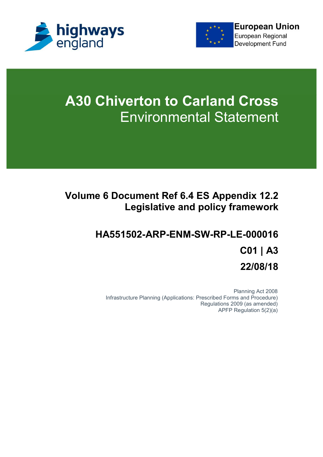



# **A30 Chiverton to Carland Cross** Environmental Statement

## **Volume 6 Document Ref 6.4 ES Appendix 12.2 Legislative and policy framework**

## **HA551502-ARP-ENM-SW-RP-LE-000016 C01 | A3 22/08/18**

Planning Act 2008 Infrastructure Planning (Applications: Prescribed Forms and Procedure) Regulations 2009 (as amended) APFP Regulation 5(2)(a)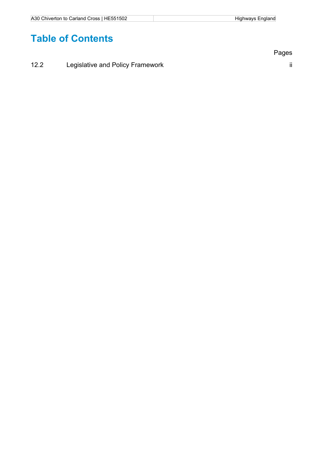## **Table of Contents**

12.2 Legislative and Policy Framework **ii** ii

Pages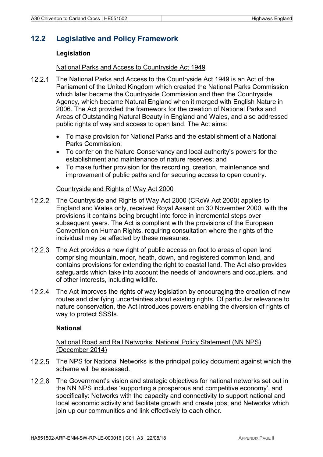#### **12.2 Legislative and Policy Framework**

#### **Legislation**

#### National Parks and Access to Countryside Act 1949

- 12.2.1 The National Parks and Access to the Countryside Act 1949 is an Act of the Parliament of the United Kingdom which created the National Parks Commission which later became the Countryside Commission and then the Countryside Agency, which became Natural England when it merged with English Nature in 2006. The Act provided the framework for the creation of National Parks and Areas of Outstanding Natural Beauty in England and Wales, and also addressed public rights of way and access to open land. The Act aims:
	- To make provision for National Parks and the establishment of a National Parks Commission;
	- To confer on the Nature Conservancy and local authority's powers for the establishment and maintenance of nature reserves; and
	- To make further provision for the recording, creation, maintenance and improvement of public paths and for securing access to open country.

#### Countryside and Rights of Way Act 2000

- 12.2.2 The Countryside and Rights of Way Act 2000 (CRoW Act 2000) applies to England and Wales only, received Royal Assent on 30 November 2000, with the provisions it contains being brought into force in incremental steps over subsequent years. The Act is compliant with the provisions of the European Convention on Human Rights, requiring consultation where the rights of the individual may be affected by these measures.
- 12.2.3 The Act provides a new right of public access on foot to areas of open land comprising mountain, moor, heath, down, and registered common land, and contains provisions for extending the right to coastal land. The Act also provides safeguards which take into account the needs of landowners and occupiers, and of other interests, including wildlife.
- 12.2.4 The Act improves the rights of way legislation by encouraging the creation of new routes and clarifying uncertainties about existing rights. Of particular relevance to nature conservation, the Act introduces powers enabling the diversion of rights of way to protect SSSIs.

#### **National**

National Road and Rail Networks: National Policy Statement (NN NPS) (December 2014)

- 12.2.5 The NPS for National Networks is the principal policy document against which the scheme will be assessed.
- The Government's vision and strategic objectives for national networks set out in the NN NPS includes 'supporting a prosperous and competitive economy', and specifically: Networks with the capacity and connectivity to support national and local economic activity and facilitate growth and create jobs; and Networks which join up our communities and link effectively to each other.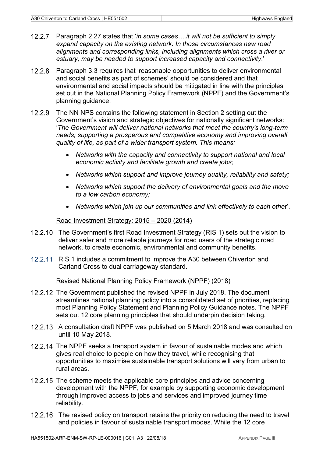- Paragraph 2.27 states that '*in some cases .it will not be sufficient to simply expand capacity on the existing network. In those circumstances new road alignments and corresponding links, including alignments which cross a river or estuary, may be needed to support increased capacity and connectivity*.'
- Paragraph 3.3 requires that 'reasonable opportunities to deliver environmental and social benefits as part of schemes' should be considered and that environmental and social impacts should be mitigated in line with the principles set out in the National Planning Policy Framework (NPPF) and the Government's planning guidance.
- 12.2.9 The NN NPS contains the following statement in Section 2 setting out the Government's vision and strategic objectives for nationally significant networks: '*The Government will deliver national networks that meet the country's long-term needs; supporting a prosperous and competitive economy and improving overall quality of life, as part of a wider transport system. This means:*
	- *Networks with the capacity and connectivity to support national and local economic activity and facilitate growth and create jobs;*
	- *Networks which support and improve journey quality, reliability and safety;*
	- *Networks which support the delivery of environmental goals and the move to a low carbon economy;*
	- *Networks which join up our communities and link effectively to each othe*r'.

Road Investment Strategy: 2015 – 2020 (2014)

- 12.2.10 The Government's first Road Investment Strategy (RIS 1) sets out the vision to deliver safer and more reliable journeys for road users of the strategic road network, to create economic, environmental and community benefits.
- 12.2.11 RIS 1 includes a commitment to improve the A30 between Chiverton and Carland Cross to dual carriageway standard.

#### Revised National Planning Policy Framework (NPPF) (2018)

- 12.2.12 The Government published the revised NPPF in July 2018. The document streamlines national planning policy into a consolidated set of priorities, replacing most Planning Policy Statement and Planning Policy Guidance notes. The NPPF sets out 12 core planning principles that should underpin decision taking.
- 12.2.13 A consultation draft NPPF was published on 5 March 2018 and was consulted on until 10 May 2018.
- 12.2.14 The NPPF seeks a transport system in favour of sustainable modes and which gives real choice to people on how they travel, while recognising that opportunities to maximise sustainable transport solutions will vary from urban to rural areas.
- 12.2.15 The scheme meets the applicable core principles and advice concerning development with the NPPF, for example by supporting economic development through improved access to jobs and services and improved journey time reliability.
- 12.2.16 The revised policy on transport retains the priority on reducing the need to travel and policies in favour of sustainable transport modes. While the 12 core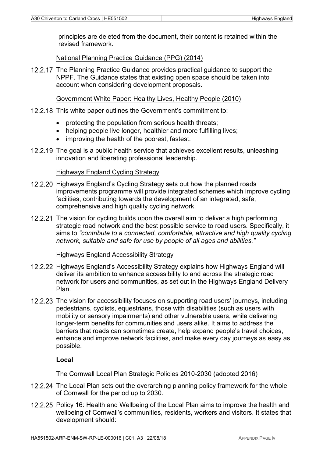principles are deleted from the document, their content is retained within the revised framework.

#### National Planning Practice Guidance (PPG) (2014)

12.2.17 The Planning Practice Guidance provides practical quidance to support the NPPF. The Guidance states that existing open space should be taken into account when considering development proposals.

#### Government White Paper: Healthy Lives, Healthy People (2010)

- 12.2.18 This white paper outlines the Government's commitment to:
	- protecting the population from serious health threats;
	- helping people live longer, healthier and more fulfilling lives;
	- improving the health of the poorest, fastest.
- 12.2.19 The goal is a public health service that achieves excellent results, unleashing innovation and liberating professional leadership.

#### Highways England Cycling Strategy

- 12.2.20 Highways England's Cycling Strategy sets out how the planned roads improvements programme will provide integrated schemes which improve cycling facilities, contributing towards the development of an integrated, safe, comprehensive and high quality cycling network.
- 12.2.21 The vision for cycling builds upon the overall aim to deliver a high performing strategic road network and the best possible service to road users. Specifically, it aims to *"contribute to a connected, comfortable, attractive and high quality cycling network, suitable and safe for use by people of all ages and abilities."*

#### Highways England Accessibility Strategy

- 12.2.22 Highways England's Accessibility Strategy explains how Highways England will deliver its ambition to enhance accessibility to and across the strategic road network for users and communities, as set out in the Highways England Delivery Plan.
- 12.2.23 The vision for accessibility focuses on supporting road users' journeys, including pedestrians, cyclists, equestrians, those with disabilities (such as users with mobility or sensory impairments) and other vulnerable users, while delivering longer-term benefits for communities and users alike. It aims to address the barriers that roads can sometimes create, help expand people's travel choices, enhance and improve network facilities, and make every day journeys as easy as possible.

#### **Local**

#### The Cornwall Local Plan Strategic Policies 2010-2030 (adopted 2016)

- 12.2.24 The Local Plan sets out the overarching planning policy framework for the whole of Cornwall for the period up to 2030.
- 12.2.25 Policy 16: Health and Wellbeing of the Local Plan aims to improve the health and wellbeing of Cornwall's communities, residents, workers and visitors. It states that development should: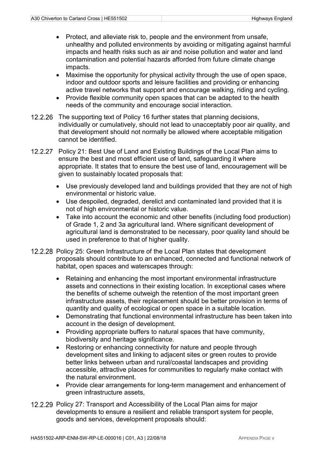- Protect, and alleviate risk to, people and the environment from unsafe, unhealthy and polluted environments by avoiding or mitigating against harmful impacts and health risks such as air and noise pollution and water and land contamination and potential hazards afforded from future climate change impacts.
- Maximise the opportunity for physical activity through the use of open space, indoor and outdoor sports and leisure facilities and providing or enhancing active travel networks that support and encourage walking, riding and cycling.
- Provide flexible community open spaces that can be adapted to the health needs of the community and encourage social interaction.
- 12.2.26 The supporting text of Policy 16 further states that planning decisions, individually or cumulatively, should not lead to unacceptably poor air quality, and that development should not normally be allowed where acceptable mitigation cannot be identified.
- 12.2.27 Policy 21: Best Use of Land and Existing Buildings of the Local Plan aims to ensure the best and most efficient use of land, safeguarding it where appropriate. It states that to ensure the best use of land, encouragement will be given to sustainably located proposals that:
	- Use previously developed land and buildings provided that they are not of high environmental or historic value.
	- Use despoiled, degraded, derelict and contaminated land provided that it is not of high environmental or historic value.
	- Take into account the economic and other benefits (including food production) of Grade 1, 2 and 3a agricultural land. Where significant development of agricultural land is demonstrated to be necessary, poor quality land should be used in preference to that of higher quality.
- 12.2.28 Policy 25: Green Infrastructure of the Local Plan states that development proposals should contribute to an enhanced, connected and functional network of habitat, open spaces and waterscapes through:
	- Retaining and enhancing the most important environmental infrastructure assets and connections in their existing location. In exceptional cases where the benefits of scheme outweigh the retention of the most important green infrastructure assets, their replacement should be better provision in terms of quantity and quality of ecological or open space in a suitable location.
	- Demonstrating that functional environmental infrastructure has been taken into account in the design of development.
	- Providing appropriate buffers to natural spaces that have community, biodiversity and heritage significance.
	- Restoring or enhancing connectivity for nature and people through development sites and linking to adjacent sites or green routes to provide better links between urban and rural/coastal landscapes and providing accessible, attractive places for communities to regularly make contact with the natural environment.
	- Provide clear arrangements for long-term management and enhancement of green infrastructure assets,
- 12.2.29 Policy 27: Transport and Accessibility of the Local Plan aims for major developments to ensure a resilient and reliable transport system for people, goods and services, development proposals should: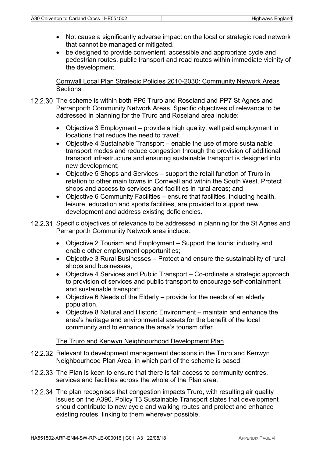- Not cause a significantly adverse impact on the local or strategic road network that cannot be managed or mitigated.
- be designed to provide convenient, accessible and appropriate cycle and pedestrian routes, public transport and road routes within immediate vicinity of the development.

Cornwall Local Plan Strategic Policies 2010-2030: Community Network Areas **Sections** 

- 12.2.30 The scheme is within both PP6 Truro and Roseland and PP7 St Agnes and Perranporth Community Network Areas. Specific objectives of relevance to be addressed in planning for the Truro and Roseland area include:
	- Objective 3 Employment provide a high quality, well paid employment in locations that reduce the need to travel;
	- Objective 4 Sustainable Transport enable the use of more sustainable transport modes and reduce congestion through the provision of additional transport infrastructure and ensuring sustainable transport is designed into new development;
	- Objective 5 Shops and Services support the retail function of Truro in relation to other main towns in Cornwall and within the South West. Protect shops and access to services and facilities in rural areas; and
	- Objective 6 Community Facilities ensure that facilities, including health, leisure, education and sports facilities, are provided to support new development and address existing deficiencies.
- 12.2.31 Specific objectives of relevance to be addressed in planning for the St Agnes and Perranporth Community Network area include:
	- Objective 2 Tourism and Employment Support the tourist industry and enable other employment opportunities;
	- Objective 3 Rural Businesses Protect and ensure the sustainability of rural shops and businesses;
	- Objective 4 Services and Public Transport Co-ordinate a strategic approach to provision of services and public transport to encourage self-containment and sustainable transport;
	- Objective 6 Needs of the Elderly provide for the needs of an elderly population.
	- Objective 8 Natural and Historic Environment maintain and enhance the area's heritage and environmental assets for the benefit of the local community and to enhance the area's tourism offer.

#### The Truro and Kenwyn Neighbourhood Development Plan

- 12.2.32 Relevant to development management decisions in the Truro and Kenwyn Neighbourhood Plan Area, in which part of the scheme is based.
- 12.2.33 The Plan is keen to ensure that there is fair access to community centres, services and facilities across the whole of the Plan area.
- 12.2.34 The plan recognises that congestion impacts Truro, with resulting air quality issues on the A390. Policy T3 Sustainable Transport states that development should contribute to new cycle and walking routes and protect and enhance existing routes, linking to them wherever possible.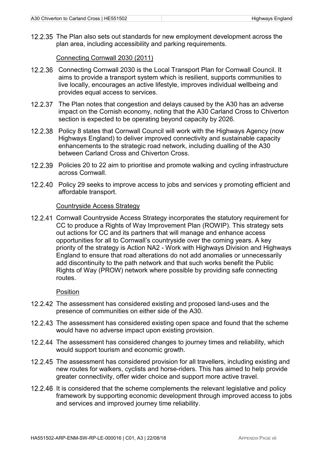12.2.35 The Plan also sets out standards for new employment development across the plan area, including accessibility and parking requirements.

Connecting Cornwall 2030 (2011)

- 12.2.36 Connecting Cornwall 2030 is the Local Transport Plan for Cornwall Council. It aims to provide a transport system which is resilient, supports communities to live locally, encourages an active lifestyle, improves individual wellbeing and provides equal access to services.
- 12.2.37 The Plan notes that congestion and delays caused by the A30 has an adverse impact on the Cornish economy, noting that the A30 Carland Cross to Chiverton section is expected to be operating beyond capacity by 2026.
- Policy 8 states that Cornwall Council will work with the Highways Agency (now Highways England) to deliver improved connectivity and sustainable capacity enhancements to the strategic road network, including dualling of the A30 between Carland Cross and Chiverton Cross.
- 12.2.39 Policies 20 to 22 aim to prioritise and promote walking and cycling infrastructure across Cornwall.
- 12.2.40 Policy 29 seeks to improve access to jobs and services y promoting efficient and affordable transport.

#### Countryside Access Strategy

12.2.41 Cornwall Countryside Access Strategy incorporates the statutory requirement for CC to produce a Rights of Way Improvement Plan (ROWIP). This strategy sets out actions for CC and its partners that will manage and enhance access opportunities for all to Cornwall's countryside over the coming years. A key priority of the strategy is Action NA2 - Work with Highways Division and Highways England to ensure that road alterations do not add anomalies or unnecessarily add discontinuity to the path network and that such works benefit the Public Rights of Way (PROW) network where possible by providing safe connecting routes.

#### Position

- 12.2.42 The assessment has considered existing and proposed land-uses and the presence of communities on either side of the A30.
- 12.2.43 The assessment has considered existing open space and found that the scheme would have no adverse impact upon existing provision.
- 12.2.44 The assessment has considered changes to journey times and reliability, which would support tourism and economic growth.
- 12.2.45 The assessment has considered provision for all travellers, including existing and new routes for walkers, cyclists and horse-riders. This has aimed to help provide greater connectivity, offer wider choice and support more active travel.
- 12.2.46 It is considered that the scheme complements the relevant legislative and policy framework by supporting economic development through improved access to jobs and services and improved journey time reliability.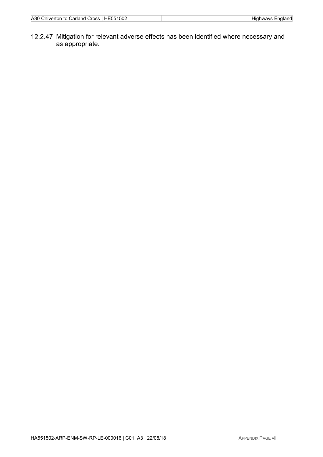12.2.47 Mitigation for relevant adverse effects has been identified where necessary and as appropriate.